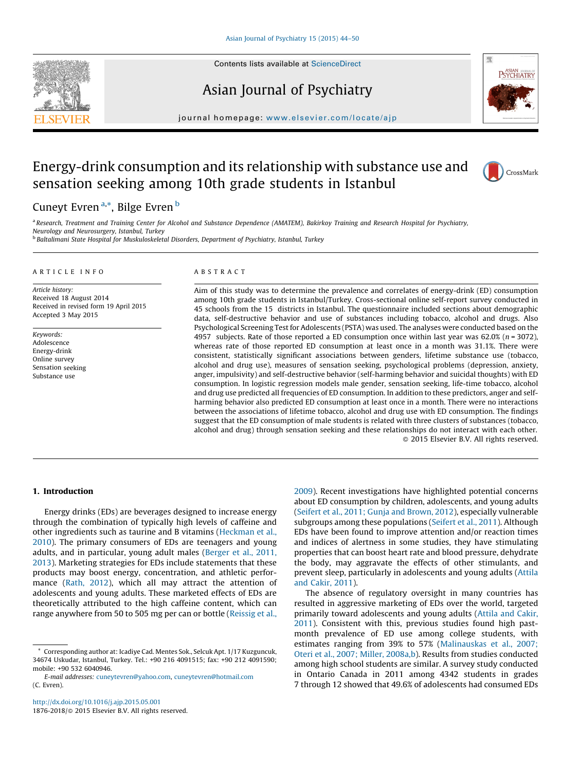Contents lists available at [ScienceDirect](http://www.sciencedirect.com/science/journal/18762018)





# Asian Journal of Psychiatry

journal homepage: <www.elsevier.com/locate/ajp>

## Energy-drink consumption and its relationship with substance use and sensation seeking among 10th grade students in Istanbul



### Cuneyt Evren<sup>a,\*</sup>, Bilge Evren<sup>b</sup>

a Research, Treatment and Training Center for Alcohol and Substance Dependence (AMATEM), Bakirkoy Training and Research Hospital for Psychiatry, Neurology and Neurosurgery, Istanbul, Turkey <sup>b</sup> Baltalimani State Hospital for Muskuloskeletal Disorders, Department of Psychiatry, Istanbul, Turkey

A R T I C L E I N F O

Article history: Received 18 August 2014 Received in revised form 19 April 2015 Accepted 3 May 2015

Keywords: Adolescence Energy-drink Online survey Sensation seeking Substance use

#### A B S T R A C T

Aim of this study was to determine the prevalence and correlates of energy-drink (ED) consumption among 10th grade students in Istanbul/Turkey. Cross-sectional online self-report survey conducted in 45 schools from the 15 districts in Istanbul. The questionnaire included sections about demographic data, self-destructive behavior and use of substances including tobacco, alcohol and drugs. Also Psychological Screening Test for Adolescents (PSTA) was used. The analyses were conducted based on the 4957 subjects. Rate of those reported a ED consumption once within last year was 62.0% ( $n = 3072$ ), whereas rate of those reported ED consumption at least once in a month was 31.1%. There were consistent, statistically significant associations between genders, lifetime substance use (tobacco, alcohol and drug use), measures of sensation seeking, psychological problems (depression, anxiety, anger, impulsivity) and self-destructive behavior (self-harming behavior and suicidal thoughts) with ED consumption. In logistic regression models male gender, sensation seeking, life-time tobacco, alcohol and drug use predicted all frequencies of ED consumption. In addition to these predictors, anger and selfharming behavior also predicted ED consumption at least once in a month. There were no interactions between the associations of lifetime tobacco, alcohol and drug use with ED consumption. The findings suggest that the ED consumption of male students is related with three clusters of substances (tobacco, alcohol and drug) through sensation seeking and these relationships do not interact with each other. - 2015 Elsevier B.V. All rights reserved.

#### 1. Introduction

Energy drinks (EDs) are beverages designed to increase energy through the combination of typically high levels of caffeine and other ingredients such as taurine and B vitamins ([Heckman](#page--1-0) et al., [2010\)](#page--1-0). The primary consumers of EDs are teenagers and young adults, and in particular, young adult males [\(Berger](#page--1-0) et al., 2011, [2013\)](#page--1-0). Marketing strategies for EDs include statements that these products may boost energy, concentration, and athletic performance (Rath, [2012\)](#page--1-0), which all may attract the attention of adolescents and young adults. These marketed effects of EDs are theoretically attributed to the high caffeine content, which can range anywhere from 50 to 505 mg per can or bottle [\(Reissig](#page--1-0) et al.,

[2009\)](#page--1-0). Recent investigations have highlighted potential concerns about ED consumption by children, adolescents, and young adults (Seifert et al., 2011; Gunja and [Brown,](#page--1-0) 2012), especially vulnerable subgroups among these populations [\(Seifert](#page--1-0) et al., 2011). Although EDs have been found to improve attention and/or reaction times and indices of alertness in some studies, they have stimulating properties that can boost heart rate and blood pressure, dehydrate the body, may aggravate the effects of other stimulants, and prevent sleep, particularly in adolescents and young adults ([Attila](#page--1-0) and [Cakir,](#page--1-0) 2011).

The absence of regulatory oversight in many countries has resulted in aggressive marketing of EDs over the world, targeted primarily toward adolescents and young adults (Attila and [Cakir,](#page--1-0) [2011\)](#page--1-0). Consistent with this, previous studies found high pastmonth prevalence of ED use among college students, with estimates ranging from 39% to 57% [\(Malinauskas](#page--1-0) et al., 2007; Oteri et al., 2007; Miller, [2008a,b\)](#page--1-0). Results from studies conducted among high school students are similar. A survey study conducted in Ontario Canada in 2011 among 4342 students in grades 7 through 12 showed that 49.6% of adolescents had consumed EDs

Corresponding author at: Icadiye Cad. Mentes Sok., Selcuk Apt. 1/17 Kuzguncuk, 34674 Uskudar, Istanbul, Turkey. Tel.: +90 216 4091515; fax: +90 212 4091590; mobile: +90 532 6040946.

E-mail addresses: [cuneytevren@yahoo.com,](mailto:cuneytevren@yahoo.com) [cuneytevren@hotmail.com](mailto:cuneytevren@hotmail.com) (C. Evren).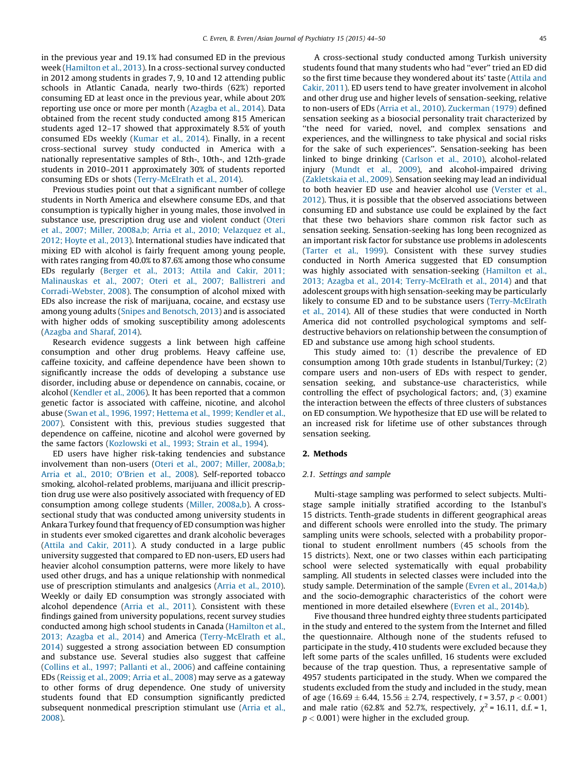in the previous year and 19.1% had consumed ED in the previous week ([Hamilton](#page--1-0) et al., 2013). In a cross-sectional survey conducted in 2012 among students in grades 7, 9, 10 and 12 attending public schools in Atlantic Canada, nearly two-thirds (62%) reported consuming ED at least once in the previous year, while about 20% reporting use once or more per month ([Azagba](#page--1-0) et al., 2014). Data obtained from the recent study conducted among 815 American students aged 12–17 showed that approximately 8.5% of youth consumed EDs weekly [\(Kumar](#page--1-0) et al., 2014). Finally, in a recent cross-sectional survey study conducted in America with a nationally representative samples of 8th-, 10th-, and 12th-grade students in 2010–2011 approximately 30% of students reported consuming EDs or shots [\(Terry-McElrath](#page--1-0) et al., 2014).

Previous studies point out that a significant number of college students in North America and elsewhere consume EDs, and that consumption is typically higher in young males, those involved in substance use, prescription drug use and violent conduct [\(Oteri](#page--1-0) et al., 2007; Miller, 2008a,b; Arria et al., 2010; [Velazquez](#page--1-0) et al., 2012; [Hoyte](#page--1-0) et al., 2013). International studies have indicated that mixing ED with alcohol is fairly frequent among young people, with rates ranging from 40.0% to 87.6% among those who consume EDs regularly ([Berger](#page--1-0) et al., 2013; Attila and Cakir, 2011; [Malinauskas](#page--1-0) et al., 2007; Oteri et al., 2007; Ballistreri and [Corradi-Webster,](#page--1-0) 2008). The consumption of alcohol mixed with EDs also increase the risk of marijuana, cocaine, and ecstasy use among young adults (Snipes and [Benotsch,](#page--1-0) 2013) and is associated with higher odds of smoking susceptibility among adolescents ([Azagba](#page--1-0) and Sharaf, 2014).

Research evidence suggests a link between high caffeine consumption and other drug problems. Heavy caffeine use, caffeine toxicity, and caffeine dependence have been shown to significantly increase the odds of developing a substance use disorder, including abuse or dependence on cannabis, cocaine, or alcohol [\(Kendler](#page--1-0) et al., 2006). It has been reported that a common genetic factor is associated with caffeine, nicotine, and alcohol abuse (Swan et al., 1996, 1997; [Hettema](#page--1-0) et al., 1999; Kendler et al., [2007\)](#page--1-0). Consistent with this, previous studies suggested that dependence on caffeine, nicotine and alcohol were governed by the same factors [\(Kozlowski](#page--1-0) et al., 1993; Strain et al., 1994).

ED users have higher risk-taking tendencies and substance involvement than non-users (Oteri et al., 2007; Miller, [2008a,b;](#page--1-0) Arria et al., 2010; [O'Brien](#page--1-0) et al., 2008). Self-reported tobacco smoking, alcohol-related problems, marijuana and illicit prescription drug use were also positively associated with frequency of ED consumption among college students (Miller, [2008a,b\)](#page--1-0). A crosssectional study that was conducted among university students in Ankara Turkey found that frequency of ED consumption was higher in students ever smoked cigarettes and drank alcoholic beverages (Attila and [Cakir,](#page--1-0) 2011). A study conducted in a large public university suggested that compared to ED non-users, ED users had heavier alcohol consumption patterns, were more likely to have used other drugs, and has a unique relationship with nonmedical use of prescription stimulants and analgesics (Arria et al., [2010\)](#page--1-0). Weekly or daily ED consumption was strongly associated with alcohol dependence (Arria et al., [2011](#page--1-0)). Consistent with these findings gained from university populations, recent survey studies conducted among high school students in Canada [\(Hamilton](#page--1-0) et al., 2013; [Azagba](#page--1-0) et al., 2014) and America [\(Terry-McElrath](#page--1-0) et al., [2014\)](#page--1-0) suggested a strong association between ED consumption and substance use. Several studies also suggest that caffeine (Collins et al., 1997; [Pallanti](#page--1-0) et al., 2006) and caffeine containing EDs [\(Reissig](#page--1-0) et al., 2009; Arria et al., 2008) may serve as a gateway to other forms of drug dependence. One study of university students found that ED consumption significantly predicted subsequent nonmedical prescription stimulant use [\(Arria](#page--1-0) et al., [2008\)](#page--1-0).

A cross-sectional study conducted among Turkish university students found that many students who had ''ever'' tried an ED did so the first time because they wondered about its' taste [\(Attila](#page--1-0) and [Cakir,](#page--1-0) 2011). ED users tend to have greater involvement in alcohol and other drug use and higher levels of sensation-seeking, relative to non-users of EDs (Arria et al., [2010\)](#page--1-0). [Zuckerman](#page--1-0) (1979) defined sensation seeking as a biosocial personality trait characterized by ''the need for varied, novel, and complex sensations and experiences, and the willingness to take physical and social risks for the sake of such experiences''. Sensation-seeking has been linked to binge drinking ([Carlson](#page--1-0) et al., 2010), alcohol-related injury ([Mundt](#page--1-0) et al., 2009), and alcohol-impaired driving ([Zakletskaia](#page--1-0) et al., 2009). Sensation seeking may lead an individual to both heavier ED use and heavier alcohol use [\(Verster](#page--1-0) et al., [2012\)](#page--1-0). Thus, it is possible that the observed associations between consuming ED and substance use could be explained by the fact that these two behaviors share common risk factor such as sensation seeking. Sensation-seeking has long been recognized as an important risk factor for substance use problems in adolescents ([Tarter](#page--1-0) et al., 1999). Consistent with these survey studies conducted in North America suggested that ED consumption was highly associated with sensation-seeking [\(Hamilton](#page--1-0) et al., 2013; Azagba et al., 2014; [Terry-McElrath](#page--1-0) et al., 2014) and that adolescent groups with high sensation-seeking may be particularly likely to consume ED and to be substance users [\(Terry-McElrath](#page--1-0) et al., [2014\)](#page--1-0). All of these studies that were conducted in North America did not controlled psychological symptoms and selfdestructive behaviors on relationship between the consumption of ED and substance use among high school students.

This study aimed to: (1) describe the prevalence of ED consumption among 10th grade students in Istanbul/Turkey; (2) compare users and non-users of EDs with respect to gender, sensation seeking, and substance-use characteristics, while controlling the effect of psychological factors; and, (3) examine the interaction between the effects of three clusters of substances on ED consumption. We hypothesize that ED use will be related to an increased risk for lifetime use of other substances through sensation seeking.

#### 2. Methods

#### 2.1. Settings and sample

Multi-stage sampling was performed to select subjects. Multistage sample initially stratified according to the Istanbul's 15 districts. Tenth-grade students in different geographical areas and different schools were enrolled into the study. The primary sampling units were schools, selected with a probability proportional to student enrollment numbers (45 schools from the 15 districts). Next, one or two classes within each participating school were selected systematically with equal probability sampling. All students in selected classes were included into the study sample. Determination of the sample (Evren et al., [2014a,b\)](#page--1-0) and the socio-demographic characteristics of the cohort were mentioned in more detailed elsewhere (Evren et al., [2014b](#page--1-0)).

Five thousand three hundred eighty three students participated in the study and entered to the system from the Internet and filled the questionnaire. Although none of the students refused to participate in the study, 410 students were excluded because they left some parts of the scales unfilled, 16 students were excluded because of the trap question. Thus, a representative sample of 4957 students participated in the study. When we compared the students excluded from the study and included in the study, mean of age (16.69  $\pm$  6.44, 15.56  $\pm$  2.74, respectively, t = 3.57, p < 0.001) and male ratio (62.8% and 52.7%, respectively,  $\chi^2$  = 16.11, d.f. = 1,  $p < 0.001$ ) were higher in the excluded group.